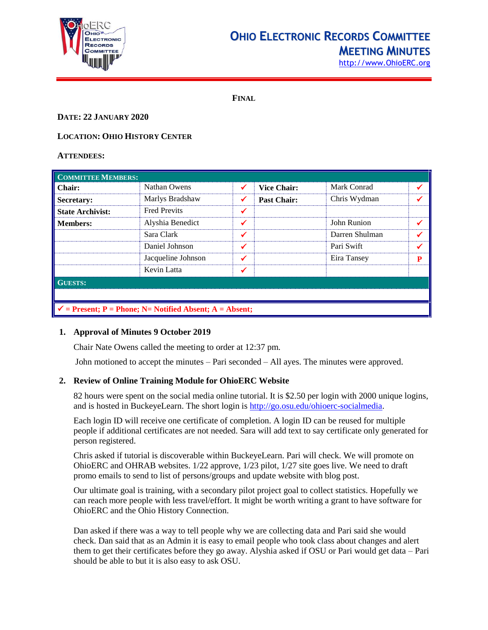

# **OHIO ELECTRONIC RECORDS COMMITTEE MEETING MINUTES**

[http://www.OhioERC.org](http://www.ohioerc.org/)

**FINAL**

# **DATE: 22 JANUARY 2020**

# **LOCATION: OHIO HISTORY CENTER**

#### **ATTENDEES:**

| <b>COMMITTEE MEMBERS:</b>                                           |                     |   |                    |                |   |  |
|---------------------------------------------------------------------|---------------------|---|--------------------|----------------|---|--|
| <b>Chair:</b>                                                       | Nathan Owens        | ✓ | <b>Vice Chair:</b> | Mark Conrad    |   |  |
| Secretary:                                                          | Marlys Bradshaw     | ✔ | <b>Past Chair:</b> | Chris Wydman   |   |  |
| <b>State Archivist:</b>                                             | <b>Fred Previts</b> | ✔ |                    |                |   |  |
| <b>Members:</b>                                                     | Alyshia Benedict    | ✓ |                    | John Runion    |   |  |
|                                                                     | Sara Clark          | ✔ |                    | Darren Shulman |   |  |
|                                                                     | Daniel Johnson      | ✔ |                    | Pari Swift     |   |  |
|                                                                     | Jacqueline Johnson  | ✔ |                    | Eira Tansey    | P |  |
|                                                                     | Kevin Latta         |   |                    |                |   |  |
| <b>GUESTS:</b>                                                      |                     |   |                    |                |   |  |
|                                                                     |                     |   |                    |                |   |  |
| $\checkmark$ = Present; P = Phone; N = Notified Absent; A = Absent; |                     |   |                    |                |   |  |

# **1. Approval of Minutes 9 October 2019**

Chair Nate Owens called the meeting to order at 12:37 pm.

John motioned to accept the minutes – Pari seconded – All ayes. The minutes were approved.

# **2. Review of Online Training Module for OhioERC Website**

82 hours were spent on the social media online tutorial. It is \$2.50 per login with 2000 unique logins, and is hosted in BuckeyeLearn. The short login is [http://go.osu.edu/ohioerc-socialmedia.](http://go.osu.edu/ohioerc-socialmedia)

Each login ID will receive one certificate of completion. A login ID can be reused for multiple people if additional certificates are not needed. Sara will add text to say certificate only generated for person registered.

Chris asked if tutorial is discoverable within BuckeyeLearn. Pari will check. We will promote on OhioERC and OHRAB websites. 1/22 approve, 1/23 pilot, 1/27 site goes live. We need to draft promo emails to send to list of persons/groups and update website with blog post.

Our ultimate goal is training, with a secondary pilot project goal to collect statistics. Hopefully we can reach more people with less travel/effort. It might be worth writing a grant to have software for OhioERC and the Ohio History Connection.

Dan asked if there was a way to tell people why we are collecting data and Pari said she would check. Dan said that as an Admin it is easy to email people who took class about changes and alert them to get their certificates before they go away. Alyshia asked if OSU or Pari would get data – Pari should be able to but it is also easy to ask OSU.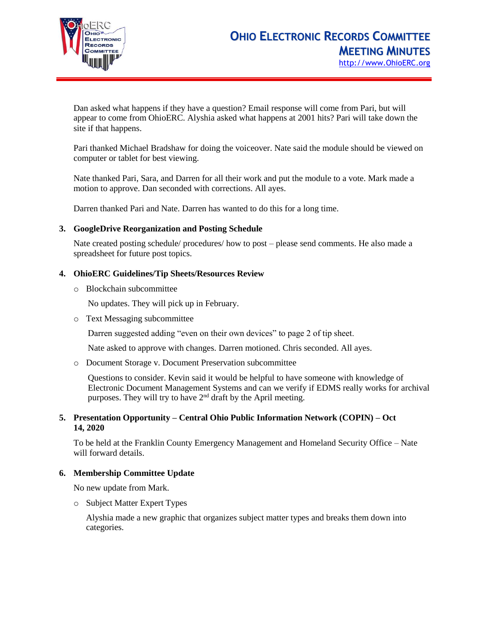

Dan asked what happens if they have a question? Email response will come from Pari, but will appear to come from OhioERC. Alyshia asked what happens at 2001 hits? Pari will take down the site if that happens.

Pari thanked Michael Bradshaw for doing the voiceover. Nate said the module should be viewed on computer or tablet for best viewing.

Nate thanked Pari, Sara, and Darren for all their work and put the module to a vote. Mark made a motion to approve. Dan seconded with corrections. All ayes.

Darren thanked Pari and Nate. Darren has wanted to do this for a long time.

#### **3. GoogleDrive Reorganization and Posting Schedule**

Nate created posting schedule/ procedures/ how to post – please send comments. He also made a spreadsheet for future post topics.

# **4. OhioERC Guidelines/Tip Sheets/Resources Review**

o Blockchain subcommittee

No updates. They will pick up in February.

o Text Messaging subcommittee

Darren suggested adding "even on their own devices" to page 2 of tip sheet.

Nate asked to approve with changes. Darren motioned. Chris seconded. All ayes.

o Document Storage v. Document Preservation subcommittee

Questions to consider. Kevin said it would be helpful to have someone with knowledge of Electronic Document Management Systems and can we verify if EDMS really works for archival purposes. They will try to have  $2<sup>nd</sup>$  draft by the April meeting.

# **5. Presentation Opportunity – Central Ohio Public Information Network (COPIN) – Oct 14, 2020**

To be held at the Franklin County Emergency Management and Homeland Security Office – Nate will forward details.

# **6. Membership Committee Update**

No new update from Mark.

o Subject Matter Expert Types

Alyshia made a new graphic that organizes subject matter types and breaks them down into categories.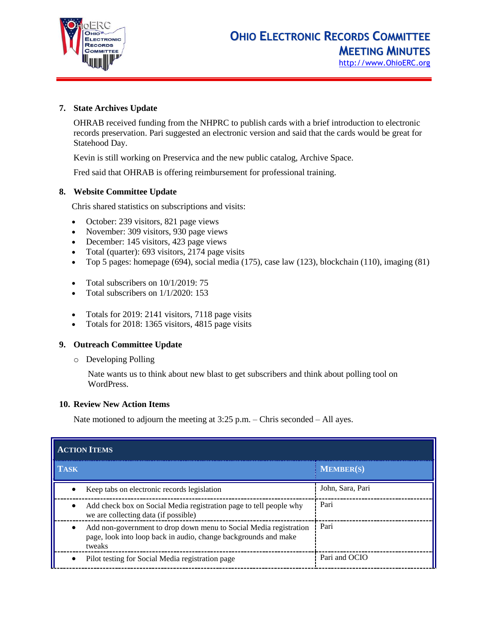

# **7. State Archives Update**

OHRAB received funding from the NHPRC to publish cards with a brief introduction to electronic records preservation. Pari suggested an electronic version and said that the cards would be great for Statehood Day.

Kevin is still working on Preservica and the new public catalog, Archive Space.

Fred said that OHRAB is offering reimbursement for professional training.

# **8. Website Committee Update**

Chris shared statistics on subscriptions and visits:

- October: 239 visitors, 821 page views
- November: 309 visitors, 930 page views
- December: 145 visitors, 423 page views
- Total (quarter): 693 visitors, 2174 page visits
- Top 5 pages: homepage (694), social media (175), case law (123), blockchain (110), imaging (81)
- Total subscribers on  $10/1/2019$ : 75
- Total subscribers on 1/1/2020: 153
- Totals for 2019: 2141 visitors, 7118 page visits
- Totals for 2018: 1365 visitors, 4815 page visits

# **9. Outreach Committee Update**

o Developing Polling

Nate wants us to think about new blast to get subscribers and think about polling tool on WordPress.

# **10. Review New Action Items**

Nate motioned to adjourn the meeting at 3:25 p.m. – Chris seconded – All ayes.

| <b>ACTION ITEMS</b>                                                                                                                            |                  |  |  |  |
|------------------------------------------------------------------------------------------------------------------------------------------------|------------------|--|--|--|
| <b>TASK</b>                                                                                                                                    | <b>MEMBER(S)</b> |  |  |  |
| Keep tabs on electronic records legislation                                                                                                    | John, Sara, Pari |  |  |  |
| Add check box on Social Media registration page to tell people why<br>we are collecting data (if possible)                                     | Pari             |  |  |  |
| Add non-government to drop down menu to Social Media registration<br>page, look into loop back in audio, change backgrounds and make<br>tweaks | Pari             |  |  |  |
| Pilot testing for Social Media registration page                                                                                               | Pari and OCIO    |  |  |  |